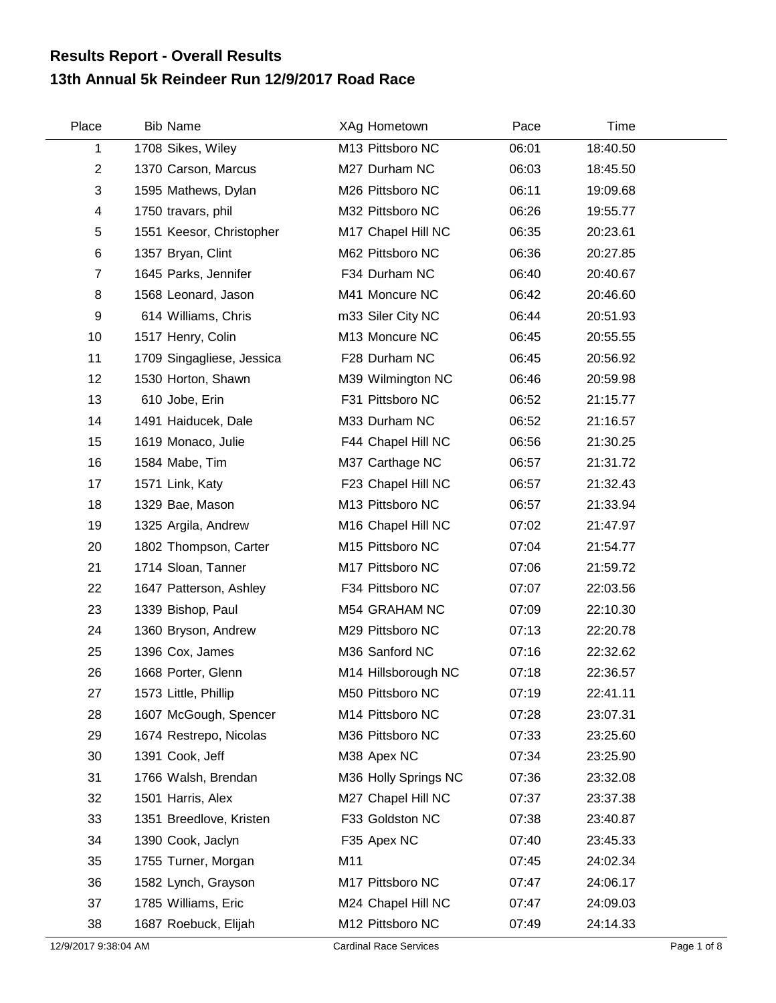## **13th Annual 5k Reindeer Run 12/9/2017 Road Race Results Report - Overall Results**

| Place          | <b>Bib Name</b>           | XAg Hometown         | Pace  | Time     |
|----------------|---------------------------|----------------------|-------|----------|
| 1              | 1708 Sikes, Wiley         | M13 Pittsboro NC     | 06:01 | 18:40.50 |
| $\overline{c}$ | 1370 Carson, Marcus       | M27 Durham NC        | 06:03 | 18:45.50 |
| 3              | 1595 Mathews, Dylan       | M26 Pittsboro NC     | 06:11 | 19:09.68 |
| 4              | 1750 travars, phil        | M32 Pittsboro NC     | 06:26 | 19:55.77 |
| 5              | 1551 Keesor, Christopher  | M17 Chapel Hill NC   | 06:35 | 20:23.61 |
| 6              | 1357 Bryan, Clint         | M62 Pittsboro NC     | 06:36 | 20:27.85 |
| $\overline{7}$ | 1645 Parks, Jennifer      | F34 Durham NC        | 06:40 | 20:40.67 |
| 8              | 1568 Leonard, Jason       | M41 Moncure NC       | 06:42 | 20:46.60 |
| 9              | 614 Williams, Chris       | m33 Siler City NC    | 06:44 | 20:51.93 |
| 10             | 1517 Henry, Colin         | M13 Moncure NC       | 06:45 | 20:55.55 |
| 11             | 1709 Singagliese, Jessica | F28 Durham NC        | 06:45 | 20:56.92 |
| 12             | 1530 Horton, Shawn        | M39 Wilmington NC    | 06:46 | 20:59.98 |
| 13             | 610 Jobe, Erin            | F31 Pittsboro NC     | 06:52 | 21:15.77 |
| 14             | 1491 Haiducek, Dale       | M33 Durham NC        | 06:52 | 21:16.57 |
| 15             | 1619 Monaco, Julie        | F44 Chapel Hill NC   | 06:56 | 21:30.25 |
| 16             | 1584 Mabe, Tim            | M37 Carthage NC      | 06:57 | 21:31.72 |
| 17             | 1571 Link, Katy           | F23 Chapel Hill NC   | 06:57 | 21:32.43 |
| 18             | 1329 Bae, Mason           | M13 Pittsboro NC     | 06:57 | 21:33.94 |
| 19             | 1325 Argila, Andrew       | M16 Chapel Hill NC   | 07:02 | 21:47.97 |
| 20             | 1802 Thompson, Carter     | M15 Pittsboro NC     | 07:04 | 21:54.77 |
| 21             | 1714 Sloan, Tanner        | M17 Pittsboro NC     | 07:06 | 21:59.72 |
| 22             | 1647 Patterson, Ashley    | F34 Pittsboro NC     | 07:07 | 22:03.56 |
| 23             | 1339 Bishop, Paul         | M54 GRAHAM NC        | 07:09 | 22:10.30 |
| 24             | 1360 Bryson, Andrew       | M29 Pittsboro NC     | 07:13 | 22:20.78 |
| 25             | 1396 Cox, James           | M36 Sanford NC       | 07:16 | 22:32.62 |
| 26             | 1668 Porter, Glenn        | M14 Hillsborough NC  | 07:18 | 22:36.57 |
| 27             | 1573 Little, Phillip      | M50 Pittsboro NC     | 07:19 | 22:41.11 |
| 28             | 1607 McGough, Spencer     | M14 Pittsboro NC     | 07:28 | 23:07.31 |
| 29             | 1674 Restrepo, Nicolas    | M36 Pittsboro NC     | 07:33 | 23:25.60 |
| 30             | 1391 Cook, Jeff           | M38 Apex NC          | 07:34 | 23:25.90 |
| 31             | 1766 Walsh, Brendan       | M36 Holly Springs NC | 07:36 | 23:32.08 |
| 32             | 1501 Harris, Alex         | M27 Chapel Hill NC   | 07:37 | 23:37.38 |
| 33             | 1351 Breedlove, Kristen   | F33 Goldston NC      | 07:38 | 23:40.87 |
| 34             | 1390 Cook, Jaclyn         | F35 Apex NC          | 07:40 | 23:45.33 |
| 35             | 1755 Turner, Morgan       | M11                  | 07:45 | 24:02.34 |
| 36             | 1582 Lynch, Grayson       | M17 Pittsboro NC     | 07:47 | 24:06.17 |
| 37             | 1785 Williams, Eric       | M24 Chapel Hill NC   | 07:47 | 24:09.03 |
| 38             | 1687 Roebuck, Elijah      | M12 Pittsboro NC     | 07:49 | 24:14.33 |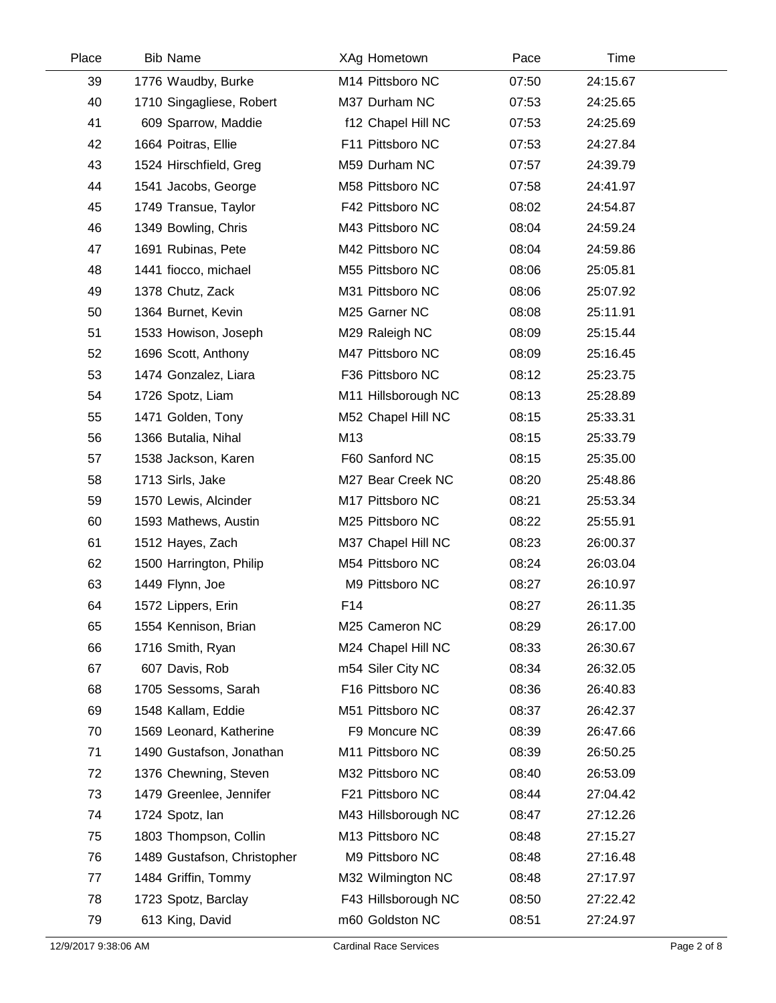| Place | <b>Bib Name</b>             | XAg Hometown        | Pace  | Time     |  |
|-------|-----------------------------|---------------------|-------|----------|--|
| 39    | 1776 Waudby, Burke          | M14 Pittsboro NC    | 07:50 | 24:15.67 |  |
| 40    | 1710 Singagliese, Robert    | M37 Durham NC       | 07:53 | 24:25.65 |  |
| 41    | 609 Sparrow, Maddie         | f12 Chapel Hill NC  | 07:53 | 24:25.69 |  |
| 42    | 1664 Poitras, Ellie         | F11 Pittsboro NC    | 07:53 | 24:27.84 |  |
| 43    | 1524 Hirschfield, Greg      | M59 Durham NC       | 07:57 | 24:39.79 |  |
| 44    | 1541 Jacobs, George         | M58 Pittsboro NC    | 07:58 | 24:41.97 |  |
| 45    | 1749 Transue, Taylor        | F42 Pittsboro NC    | 08:02 | 24:54.87 |  |
| 46    | 1349 Bowling, Chris         | M43 Pittsboro NC    | 08:04 | 24:59.24 |  |
| 47    | 1691 Rubinas, Pete          | M42 Pittsboro NC    | 08:04 | 24:59.86 |  |
| 48    | 1441 fiocco, michael        | M55 Pittsboro NC    | 08:06 | 25:05.81 |  |
| 49    | 1378 Chutz, Zack            | M31 Pittsboro NC    | 08:06 | 25:07.92 |  |
| 50    | 1364 Burnet, Kevin          | M25 Garner NC       | 08:08 | 25:11.91 |  |
| 51    | 1533 Howison, Joseph        | M29 Raleigh NC      | 08:09 | 25:15.44 |  |
| 52    | 1696 Scott, Anthony         | M47 Pittsboro NC    | 08:09 | 25:16.45 |  |
| 53    | 1474 Gonzalez, Liara        | F36 Pittsboro NC    | 08:12 | 25:23.75 |  |
| 54    | 1726 Spotz, Liam            | M11 Hillsborough NC | 08:13 | 25:28.89 |  |
| 55    | 1471 Golden, Tony           | M52 Chapel Hill NC  | 08:15 | 25:33.31 |  |
| 56    | 1366 Butalia, Nihal         | M13                 | 08:15 | 25:33.79 |  |
| 57    | 1538 Jackson, Karen         | F60 Sanford NC      | 08:15 | 25:35.00 |  |
| 58    | 1713 Sirls, Jake            | M27 Bear Creek NC   | 08:20 | 25:48.86 |  |
| 59    | 1570 Lewis, Alcinder        | M17 Pittsboro NC    | 08:21 | 25:53.34 |  |
| 60    | 1593 Mathews, Austin        | M25 Pittsboro NC    | 08:22 | 25:55.91 |  |
| 61    | 1512 Hayes, Zach            | M37 Chapel Hill NC  | 08:23 | 26:00.37 |  |
| 62    | 1500 Harrington, Philip     | M54 Pittsboro NC    | 08:24 | 26:03.04 |  |
| 63    | 1449 Flynn, Joe             | M9 Pittsboro NC     | 08:27 | 26:10.97 |  |
| 64    | 1572 Lippers, Erin          | F14                 | 08:27 | 26:11.35 |  |
| 65    | 1554 Kennison, Brian        | M25 Cameron NC      | 08:29 | 26:17.00 |  |
| 66    | 1716 Smith, Ryan            | M24 Chapel Hill NC  | 08:33 | 26:30.67 |  |
| 67    | 607 Davis, Rob              | m54 Siler City NC   | 08:34 | 26:32.05 |  |
| 68    | 1705 Sessoms, Sarah         | F16 Pittsboro NC    | 08:36 | 26:40.83 |  |
| 69    | 1548 Kallam, Eddie          | M51 Pittsboro NC    | 08:37 | 26:42.37 |  |
| 70    | 1569 Leonard, Katherine     | F9 Moncure NC       | 08:39 | 26:47.66 |  |
| 71    | 1490 Gustafson, Jonathan    | M11 Pittsboro NC    | 08:39 | 26:50.25 |  |
| 72    | 1376 Chewning, Steven       | M32 Pittsboro NC    | 08:40 | 26:53.09 |  |
| 73    | 1479 Greenlee, Jennifer     | F21 Pittsboro NC    | 08:44 | 27:04.42 |  |
| 74    | 1724 Spotz, lan             | M43 Hillsborough NC | 08:47 | 27:12.26 |  |
| 75    | 1803 Thompson, Collin       | M13 Pittsboro NC    | 08:48 | 27:15.27 |  |
| 76    | 1489 Gustafson, Christopher | M9 Pittsboro NC     | 08:48 | 27:16.48 |  |
| 77    | 1484 Griffin, Tommy         | M32 Wilmington NC   | 08:48 | 27:17.97 |  |
| 78    | 1723 Spotz, Barclay         | F43 Hillsborough NC | 08:50 | 27:22.42 |  |
| 79    | 613 King, David             | m60 Goldston NC     | 08:51 | 27:24.97 |  |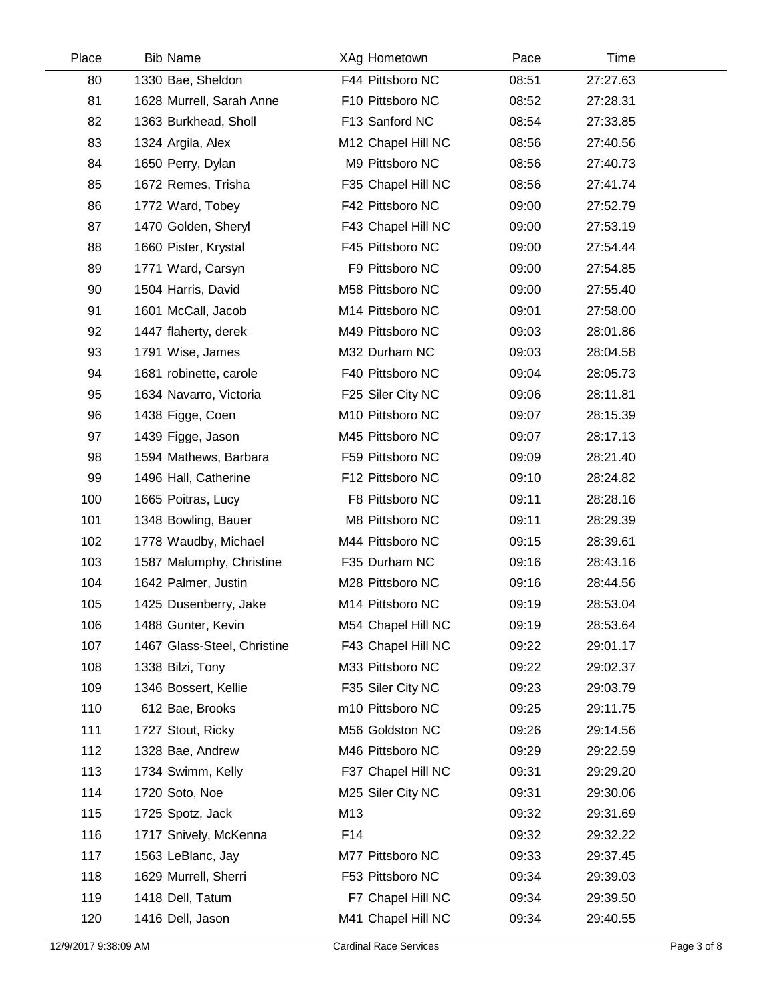| Place | <b>Bib Name</b>             | XAg Hometown       | Pace  | Time     |  |
|-------|-----------------------------|--------------------|-------|----------|--|
| 80    | 1330 Bae, Sheldon           | F44 Pittsboro NC   | 08:51 | 27:27.63 |  |
| 81    | 1628 Murrell, Sarah Anne    | F10 Pittsboro NC   | 08:52 | 27:28.31 |  |
| 82    | 1363 Burkhead, Sholl        | F13 Sanford NC     | 08:54 | 27:33.85 |  |
| 83    | 1324 Argila, Alex           | M12 Chapel Hill NC | 08:56 | 27:40.56 |  |
| 84    | 1650 Perry, Dylan           | M9 Pittsboro NC    | 08:56 | 27:40.73 |  |
| 85    | 1672 Remes, Trisha          | F35 Chapel Hill NC | 08:56 | 27:41.74 |  |
| 86    | 1772 Ward, Tobey            | F42 Pittsboro NC   | 09:00 | 27:52.79 |  |
| 87    | 1470 Golden, Sheryl         | F43 Chapel Hill NC | 09:00 | 27:53.19 |  |
| 88    | 1660 Pister, Krystal        | F45 Pittsboro NC   | 09:00 | 27:54.44 |  |
| 89    | 1771 Ward, Carsyn           | F9 Pittsboro NC    | 09:00 | 27:54.85 |  |
| 90    | 1504 Harris, David          | M58 Pittsboro NC   | 09:00 | 27:55.40 |  |
| 91    | 1601 McCall, Jacob          | M14 Pittsboro NC   | 09:01 | 27:58.00 |  |
| 92    | 1447 flaherty, derek        | M49 Pittsboro NC   | 09:03 | 28:01.86 |  |
| 93    | 1791 Wise, James            | M32 Durham NC      | 09:03 | 28:04.58 |  |
| 94    | 1681 robinette, carole      | F40 Pittsboro NC   | 09:04 | 28:05.73 |  |
| 95    | 1634 Navarro, Victoria      | F25 Siler City NC  | 09:06 | 28:11.81 |  |
| 96    | 1438 Figge, Coen            | M10 Pittsboro NC   | 09:07 | 28:15.39 |  |
| 97    | 1439 Figge, Jason           | M45 Pittsboro NC   | 09:07 | 28:17.13 |  |
| 98    | 1594 Mathews, Barbara       | F59 Pittsboro NC   | 09:09 | 28:21.40 |  |
| 99    | 1496 Hall, Catherine        | F12 Pittsboro NC   | 09:10 | 28:24.82 |  |
| 100   | 1665 Poitras, Lucy          | F8 Pittsboro NC    | 09:11 | 28:28.16 |  |
| 101   | 1348 Bowling, Bauer         | M8 Pittsboro NC    | 09:11 | 28:29.39 |  |
| 102   | 1778 Waudby, Michael        | M44 Pittsboro NC   | 09:15 | 28:39.61 |  |
| 103   | 1587 Malumphy, Christine    | F35 Durham NC      | 09:16 | 28:43.16 |  |
| 104   | 1642 Palmer, Justin         | M28 Pittsboro NC   | 09:16 | 28:44.56 |  |
| 105   | 1425 Dusenberry, Jake       | M14 Pittsboro NC   | 09:19 | 28:53.04 |  |
| 106   | 1488 Gunter, Kevin          | M54 Chapel Hill NC | 09:19 | 28:53.64 |  |
| 107   | 1467 Glass-Steel, Christine | F43 Chapel Hill NC | 09:22 | 29:01.17 |  |
| 108   | 1338 Bilzi, Tony            | M33 Pittsboro NC   | 09:22 | 29:02.37 |  |
| 109   | 1346 Bossert, Kellie        | F35 Siler City NC  | 09:23 | 29:03.79 |  |
| 110   | 612 Bae, Brooks             | m10 Pittsboro NC   | 09:25 | 29:11.75 |  |
| 111   | 1727 Stout, Ricky           | M56 Goldston NC    | 09:26 | 29:14.56 |  |
| 112   | 1328 Bae, Andrew            | M46 Pittsboro NC   | 09:29 | 29:22.59 |  |
| 113   | 1734 Swimm, Kelly           | F37 Chapel Hill NC | 09:31 | 29:29.20 |  |
| 114   | 1720 Soto, Noe              | M25 Siler City NC  | 09:31 | 29:30.06 |  |
| 115   | 1725 Spotz, Jack            | M13                | 09:32 | 29:31.69 |  |
| 116   | 1717 Snively, McKenna       | F14                | 09:32 | 29:32.22 |  |
| 117   | 1563 LeBlanc, Jay           | M77 Pittsboro NC   | 09:33 | 29:37.45 |  |
| 118   | 1629 Murrell, Sherri        | F53 Pittsboro NC   | 09:34 | 29:39.03 |  |
| 119   | 1418 Dell, Tatum            | F7 Chapel Hill NC  | 09:34 | 29:39.50 |  |
| 120   | 1416 Dell, Jason            | M41 Chapel Hill NC | 09:34 | 29:40.55 |  |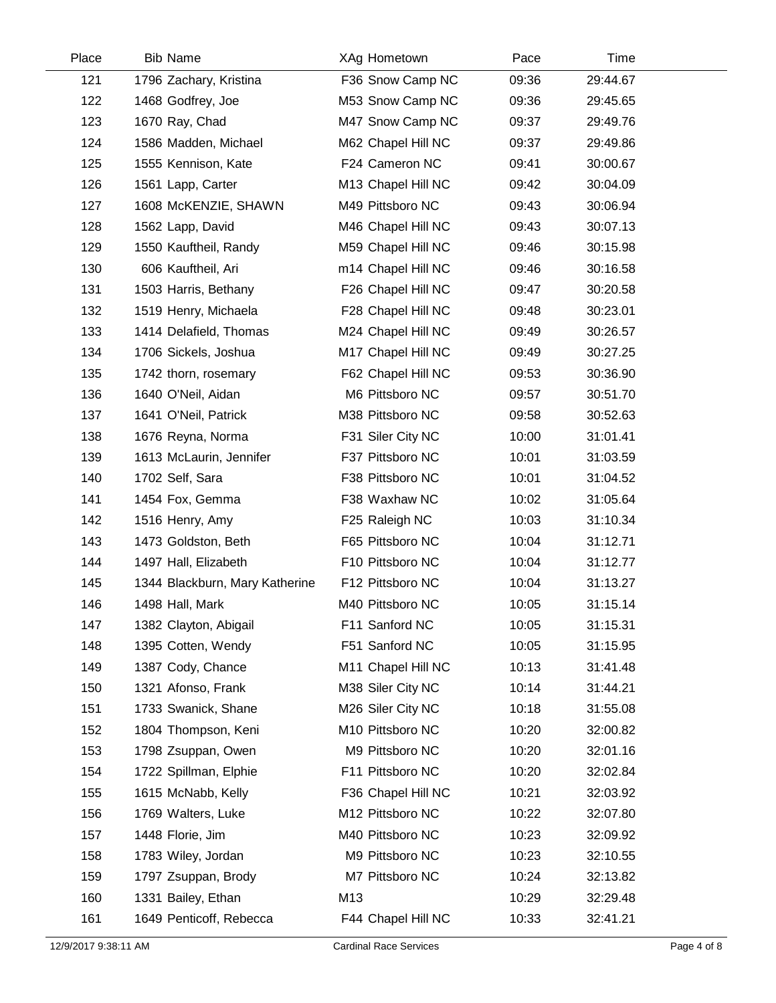| Place | <b>Bib Name</b>                | XAg Hometown       | Pace  | Time     |  |
|-------|--------------------------------|--------------------|-------|----------|--|
| 121   | 1796 Zachary, Kristina         | F36 Snow Camp NC   | 09:36 | 29:44.67 |  |
| 122   | 1468 Godfrey, Joe              | M53 Snow Camp NC   | 09:36 | 29:45.65 |  |
| 123   | 1670 Ray, Chad                 | M47 Snow Camp NC   | 09:37 | 29:49.76 |  |
| 124   | 1586 Madden, Michael           | M62 Chapel Hill NC | 09:37 | 29:49.86 |  |
| 125   | 1555 Kennison, Kate            | F24 Cameron NC     | 09:41 | 30:00.67 |  |
| 126   | 1561 Lapp, Carter              | M13 Chapel Hill NC | 09:42 | 30:04.09 |  |
| 127   | 1608 McKENZIE, SHAWN           | M49 Pittsboro NC   | 09:43 | 30:06.94 |  |
| 128   | 1562 Lapp, David               | M46 Chapel Hill NC | 09:43 | 30:07.13 |  |
| 129   | 1550 Kauftheil, Randy          | M59 Chapel Hill NC | 09:46 | 30:15.98 |  |
| 130   | 606 Kauftheil, Ari             | m14 Chapel Hill NC | 09:46 | 30:16.58 |  |
| 131   | 1503 Harris, Bethany           | F26 Chapel Hill NC | 09:47 | 30:20.58 |  |
| 132   | 1519 Henry, Michaela           | F28 Chapel Hill NC | 09:48 | 30:23.01 |  |
| 133   | 1414 Delafield, Thomas         | M24 Chapel Hill NC | 09:49 | 30:26.57 |  |
| 134   | 1706 Sickels, Joshua           | M17 Chapel Hill NC | 09:49 | 30:27.25 |  |
| 135   | 1742 thorn, rosemary           | F62 Chapel Hill NC | 09:53 | 30:36.90 |  |
| 136   | 1640 O'Neil, Aidan             | M6 Pittsboro NC    | 09:57 | 30:51.70 |  |
| 137   | 1641 O'Neil, Patrick           | M38 Pittsboro NC   | 09:58 | 30:52.63 |  |
| 138   | 1676 Reyna, Norma              | F31 Siler City NC  | 10:00 | 31:01.41 |  |
| 139   | 1613 McLaurin, Jennifer        | F37 Pittsboro NC   | 10:01 | 31:03.59 |  |
| 140   | 1702 Self, Sara                | F38 Pittsboro NC   | 10:01 | 31:04.52 |  |
| 141   | 1454 Fox, Gemma                | F38 Waxhaw NC      | 10:02 | 31:05.64 |  |
| 142   | 1516 Henry, Amy                | F25 Raleigh NC     | 10:03 | 31:10.34 |  |
| 143   | 1473 Goldston, Beth            | F65 Pittsboro NC   | 10:04 | 31:12.71 |  |
| 144   | 1497 Hall, Elizabeth           | F10 Pittsboro NC   | 10:04 | 31:12.77 |  |
| 145   | 1344 Blackburn, Mary Katherine | F12 Pittsboro NC   | 10:04 | 31:13.27 |  |
| 146   | 1498 Hall, Mark                | M40 Pittsboro NC   | 10:05 | 31:15.14 |  |
| 147   | 1382 Clayton, Abigail          | F11 Sanford NC     | 10:05 | 31:15.31 |  |
| 148   | 1395 Cotten, Wendy             | F51 Sanford NC     | 10:05 | 31:15.95 |  |
| 149   | 1387 Cody, Chance              | M11 Chapel Hill NC | 10:13 | 31:41.48 |  |
| 150   | 1321 Afonso, Frank             | M38 Siler City NC  | 10:14 | 31:44.21 |  |
| 151   | 1733 Swanick, Shane            | M26 Siler City NC  | 10:18 | 31:55.08 |  |
| 152   | 1804 Thompson, Keni            | M10 Pittsboro NC   | 10:20 | 32:00.82 |  |
| 153   | 1798 Zsuppan, Owen             | M9 Pittsboro NC    | 10:20 | 32:01.16 |  |
| 154   | 1722 Spillman, Elphie          | F11 Pittsboro NC   | 10:20 | 32:02.84 |  |
| 155   | 1615 McNabb, Kelly             | F36 Chapel Hill NC | 10:21 | 32:03.92 |  |
| 156   | 1769 Walters, Luke             | M12 Pittsboro NC   | 10:22 | 32:07.80 |  |
| 157   | 1448 Florie, Jim               | M40 Pittsboro NC   | 10:23 | 32:09.92 |  |
| 158   | 1783 Wiley, Jordan             | M9 Pittsboro NC    | 10:23 | 32:10.55 |  |
| 159   | 1797 Zsuppan, Brody            | M7 Pittsboro NC    | 10:24 | 32:13.82 |  |
| 160   | 1331 Bailey, Ethan             | M13                | 10:29 | 32:29.48 |  |
| 161   | 1649 Penticoff, Rebecca        | F44 Chapel Hill NC | 10:33 | 32:41.21 |  |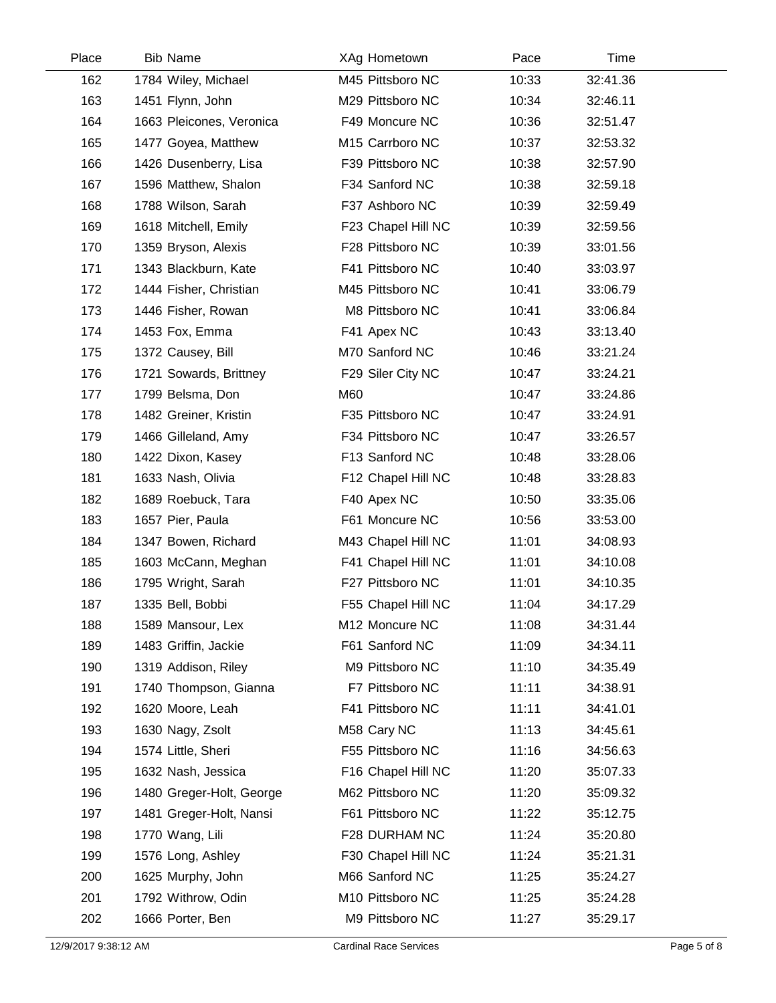| Place | <b>Bib Name</b>          | XAg Hometown       | Pace  | Time     |  |
|-------|--------------------------|--------------------|-------|----------|--|
| 162   | 1784 Wiley, Michael      | M45 Pittsboro NC   | 10:33 | 32:41.36 |  |
| 163   | 1451 Flynn, John         | M29 Pittsboro NC   | 10:34 | 32:46.11 |  |
| 164   | 1663 Pleicones, Veronica | F49 Moncure NC     | 10:36 | 32:51.47 |  |
| 165   | 1477 Goyea, Matthew      | M15 Carrboro NC    | 10:37 | 32:53.32 |  |
| 166   | 1426 Dusenberry, Lisa    | F39 Pittsboro NC   | 10:38 | 32:57.90 |  |
| 167   | 1596 Matthew, Shalon     | F34 Sanford NC     | 10:38 | 32:59.18 |  |
| 168   | 1788 Wilson, Sarah       | F37 Ashboro NC     | 10:39 | 32:59.49 |  |
| 169   | 1618 Mitchell, Emily     | F23 Chapel Hill NC | 10:39 | 32:59.56 |  |
| 170   | 1359 Bryson, Alexis      | F28 Pittsboro NC   | 10:39 | 33:01.56 |  |
| 171   | 1343 Blackburn, Kate     | F41 Pittsboro NC   | 10:40 | 33:03.97 |  |
| 172   | 1444 Fisher, Christian   | M45 Pittsboro NC   | 10:41 | 33:06.79 |  |
| 173   | 1446 Fisher, Rowan       | M8 Pittsboro NC    | 10:41 | 33:06.84 |  |
| 174   | 1453 Fox, Emma           | F41 Apex NC        | 10:43 | 33:13.40 |  |
| 175   | 1372 Causey, Bill        | M70 Sanford NC     | 10:46 | 33:21.24 |  |
| 176   | 1721 Sowards, Brittney   | F29 Siler City NC  | 10:47 | 33:24.21 |  |
| 177   | 1799 Belsma, Don         | M60                | 10:47 | 33:24.86 |  |
| 178   | 1482 Greiner, Kristin    | F35 Pittsboro NC   | 10:47 | 33:24.91 |  |
| 179   | 1466 Gilleland, Amy      | F34 Pittsboro NC   | 10:47 | 33:26.57 |  |
| 180   | 1422 Dixon, Kasey        | F13 Sanford NC     | 10:48 | 33:28.06 |  |
| 181   | 1633 Nash, Olivia        | F12 Chapel Hill NC | 10:48 | 33:28.83 |  |
| 182   | 1689 Roebuck, Tara       | F40 Apex NC        | 10:50 | 33:35.06 |  |
| 183   | 1657 Pier, Paula         | F61 Moncure NC     | 10:56 | 33:53.00 |  |
| 184   | 1347 Bowen, Richard      | M43 Chapel Hill NC | 11:01 | 34:08.93 |  |
| 185   | 1603 McCann, Meghan      | F41 Chapel Hill NC | 11:01 | 34:10.08 |  |
| 186   | 1795 Wright, Sarah       | F27 Pittsboro NC   | 11:01 | 34:10.35 |  |
| 187   | 1335 Bell, Bobbi         | F55 Chapel Hill NC | 11:04 | 34:17.29 |  |
| 188   | 1589 Mansour, Lex        | M12 Moncure NC     | 11:08 | 34:31.44 |  |
| 189   | 1483 Griffin, Jackie     | F61 Sanford NC     | 11:09 | 34:34.11 |  |
| 190   | 1319 Addison, Riley      | M9 Pittsboro NC    | 11:10 | 34:35.49 |  |
| 191   | 1740 Thompson, Gianna    | F7 Pittsboro NC    | 11:11 | 34:38.91 |  |
| 192   | 1620 Moore, Leah         | F41 Pittsboro NC   | 11:11 | 34:41.01 |  |
| 193   | 1630 Nagy, Zsolt         | M58 Cary NC        | 11:13 | 34:45.61 |  |
| 194   | 1574 Little, Sheri       | F55 Pittsboro NC   | 11:16 | 34:56.63 |  |
| 195   | 1632 Nash, Jessica       | F16 Chapel Hill NC | 11:20 | 35:07.33 |  |
| 196   | 1480 Greger-Holt, George | M62 Pittsboro NC   | 11:20 | 35:09.32 |  |
| 197   | 1481 Greger-Holt, Nansi  | F61 Pittsboro NC   | 11:22 | 35:12.75 |  |
| 198   | 1770 Wang, Lili          | F28 DURHAM NC      | 11:24 | 35:20.80 |  |
| 199   | 1576 Long, Ashley        | F30 Chapel Hill NC | 11:24 | 35:21.31 |  |
| 200   | 1625 Murphy, John        | M66 Sanford NC     | 11:25 | 35:24.27 |  |
| 201   | 1792 Withrow, Odin       | M10 Pittsboro NC   | 11:25 | 35:24.28 |  |
| 202   | 1666 Porter, Ben         | M9 Pittsboro NC    | 11:27 | 35:29.17 |  |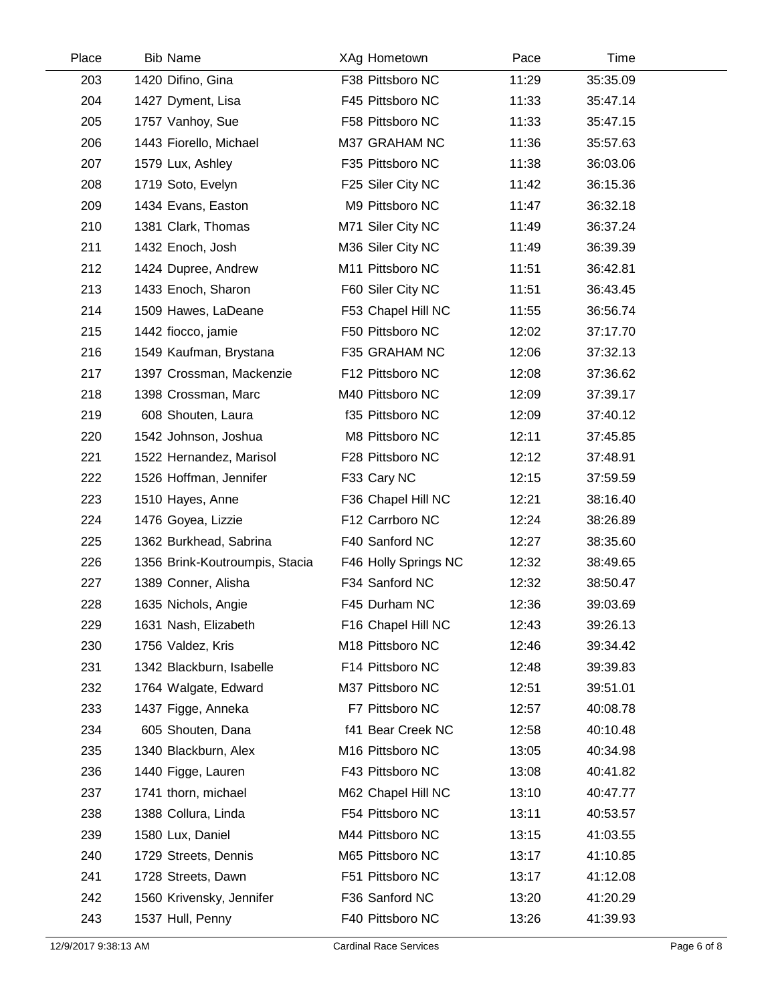| Place | <b>Bib Name</b>                | XAg Hometown         | Pace  | Time     |  |
|-------|--------------------------------|----------------------|-------|----------|--|
| 203   | 1420 Difino, Gina              | F38 Pittsboro NC     | 11:29 | 35:35.09 |  |
| 204   | 1427 Dyment, Lisa              | F45 Pittsboro NC     | 11:33 | 35:47.14 |  |
| 205   | 1757 Vanhoy, Sue               | F58 Pittsboro NC     | 11:33 | 35:47.15 |  |
| 206   | 1443 Fiorello, Michael         | M37 GRAHAM NC        | 11:36 | 35:57.63 |  |
| 207   | 1579 Lux, Ashley               | F35 Pittsboro NC     | 11:38 | 36:03.06 |  |
| 208   | 1719 Soto, Evelyn              | F25 Siler City NC    | 11:42 | 36:15.36 |  |
| 209   | 1434 Evans, Easton             | M9 Pittsboro NC      | 11:47 | 36:32.18 |  |
| 210   | 1381 Clark, Thomas             | M71 Siler City NC    | 11:49 | 36:37.24 |  |
| 211   | 1432 Enoch, Josh               | M36 Siler City NC    | 11:49 | 36:39.39 |  |
| 212   | 1424 Dupree, Andrew            | M11 Pittsboro NC     | 11:51 | 36:42.81 |  |
| 213   | 1433 Enoch, Sharon             | F60 Siler City NC    | 11:51 | 36:43.45 |  |
| 214   | 1509 Hawes, LaDeane            | F53 Chapel Hill NC   | 11:55 | 36:56.74 |  |
| 215   | 1442 fiocco, jamie             | F50 Pittsboro NC     | 12:02 | 37:17.70 |  |
| 216   | 1549 Kaufman, Brystana         | F35 GRAHAM NC        | 12:06 | 37:32.13 |  |
| 217   | 1397 Crossman, Mackenzie       | F12 Pittsboro NC     | 12:08 | 37:36.62 |  |
| 218   | 1398 Crossman, Marc            | M40 Pittsboro NC     | 12:09 | 37:39.17 |  |
| 219   | 608 Shouten, Laura             | f35 Pittsboro NC     | 12:09 | 37:40.12 |  |
| 220   | 1542 Johnson, Joshua           | M8 Pittsboro NC      | 12:11 | 37:45.85 |  |
| 221   | 1522 Hernandez, Marisol        | F28 Pittsboro NC     | 12:12 | 37:48.91 |  |
| 222   | 1526 Hoffman, Jennifer         | F33 Cary NC          | 12:15 | 37:59.59 |  |
| 223   | 1510 Hayes, Anne               | F36 Chapel Hill NC   | 12:21 | 38:16.40 |  |
| 224   | 1476 Goyea, Lizzie             | F12 Carrboro NC      | 12:24 | 38:26.89 |  |
| 225   | 1362 Burkhead, Sabrina         | F40 Sanford NC       | 12:27 | 38:35.60 |  |
| 226   | 1356 Brink-Koutroumpis, Stacia | F46 Holly Springs NC | 12:32 | 38:49.65 |  |
| 227   | 1389 Conner, Alisha            | F34 Sanford NC       | 12:32 | 38:50.47 |  |
| 228   | 1635 Nichols, Angie            | F45 Durham NC        | 12:36 | 39:03.69 |  |
| 229   | 1631 Nash, Elizabeth           | F16 Chapel Hill NC   | 12:43 | 39:26.13 |  |
| 230   | 1756 Valdez, Kris              | M18 Pittsboro NC     | 12:46 | 39:34.42 |  |
| 231   | 1342 Blackburn, Isabelle       | F14 Pittsboro NC     | 12:48 | 39:39.83 |  |
| 232   | 1764 Walgate, Edward           | M37 Pittsboro NC     | 12:51 | 39:51.01 |  |
| 233   | 1437 Figge, Anneka             | F7 Pittsboro NC      | 12:57 | 40:08.78 |  |
| 234   | 605 Shouten, Dana              | f41 Bear Creek NC    | 12:58 | 40:10.48 |  |
| 235   | 1340 Blackburn, Alex           | M16 Pittsboro NC     | 13:05 | 40:34.98 |  |
| 236   | 1440 Figge, Lauren             | F43 Pittsboro NC     | 13:08 | 40:41.82 |  |
| 237   | 1741 thorn, michael            | M62 Chapel Hill NC   | 13:10 | 40:47.77 |  |
| 238   | 1388 Collura, Linda            | F54 Pittsboro NC     | 13:11 | 40:53.57 |  |
| 239   | 1580 Lux, Daniel               | M44 Pittsboro NC     | 13:15 | 41:03.55 |  |
| 240   | 1729 Streets, Dennis           | M65 Pittsboro NC     | 13:17 | 41:10.85 |  |
| 241   | 1728 Streets, Dawn             | F51 Pittsboro NC     | 13:17 | 41:12.08 |  |
| 242   | 1560 Krivensky, Jennifer       | F36 Sanford NC       | 13:20 | 41:20.29 |  |
| 243   | 1537 Hull, Penny               | F40 Pittsboro NC     | 13:26 | 41:39.93 |  |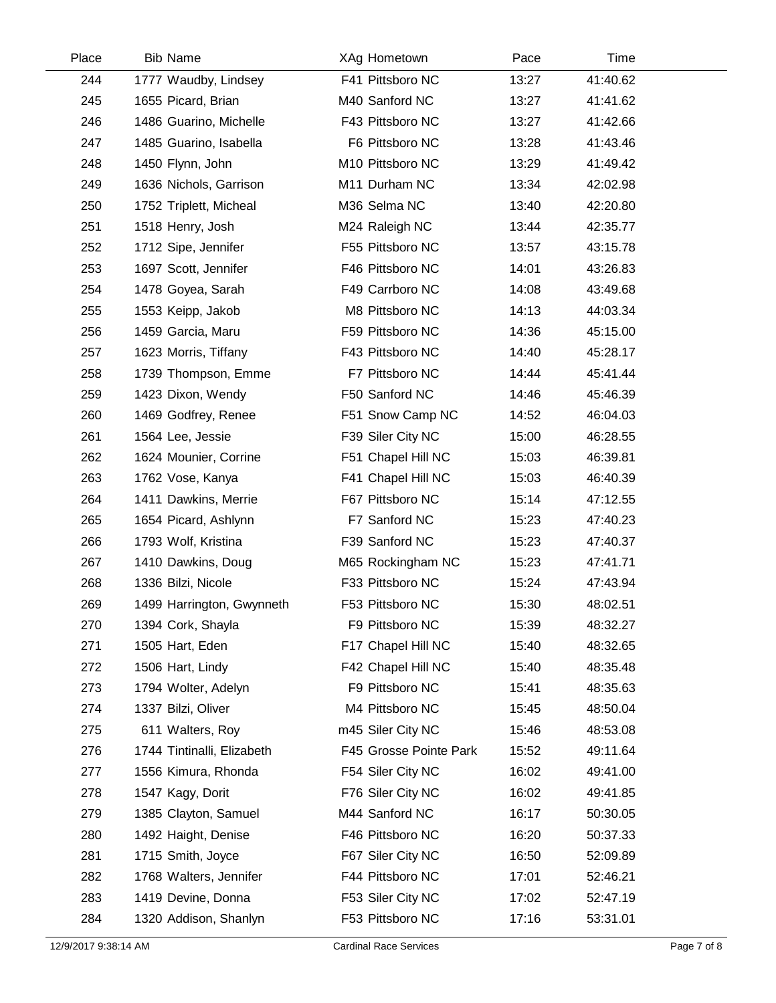| Place | <b>Bib Name</b>            | XAg Hometown           | Pace  | Time     |  |
|-------|----------------------------|------------------------|-------|----------|--|
| 244   | 1777 Waudby, Lindsey       | F41 Pittsboro NC       | 13:27 | 41:40.62 |  |
| 245   | 1655 Picard, Brian         | M40 Sanford NC         | 13:27 | 41:41.62 |  |
| 246   | 1486 Guarino, Michelle     | F43 Pittsboro NC       | 13:27 | 41:42.66 |  |
| 247   | 1485 Guarino, Isabella     | F6 Pittsboro NC        | 13:28 | 41:43.46 |  |
| 248   | 1450 Flynn, John           | M10 Pittsboro NC       | 13:29 | 41:49.42 |  |
| 249   | 1636 Nichols, Garrison     | M11 Durham NC          | 13:34 | 42:02.98 |  |
| 250   | 1752 Triplett, Micheal     | M36 Selma NC           | 13:40 | 42:20.80 |  |
| 251   | 1518 Henry, Josh           | M24 Raleigh NC         | 13:44 | 42:35.77 |  |
| 252   | 1712 Sipe, Jennifer        | F55 Pittsboro NC       | 13:57 | 43:15.78 |  |
| 253   | 1697 Scott, Jennifer       | F46 Pittsboro NC       | 14:01 | 43:26.83 |  |
| 254   | 1478 Goyea, Sarah          | F49 Carrboro NC        | 14:08 | 43:49.68 |  |
| 255   | 1553 Keipp, Jakob          | M8 Pittsboro NC        | 14:13 | 44:03.34 |  |
| 256   | 1459 Garcia, Maru          | F59 Pittsboro NC       | 14:36 | 45:15.00 |  |
| 257   | 1623 Morris, Tiffany       | F43 Pittsboro NC       | 14:40 | 45:28.17 |  |
| 258   | 1739 Thompson, Emme        | F7 Pittsboro NC        | 14:44 | 45:41.44 |  |
| 259   | 1423 Dixon, Wendy          | F50 Sanford NC         | 14:46 | 45:46.39 |  |
| 260   | 1469 Godfrey, Renee        | F51 Snow Camp NC       | 14:52 | 46:04.03 |  |
| 261   | 1564 Lee, Jessie           | F39 Siler City NC      | 15:00 | 46:28.55 |  |
| 262   | 1624 Mounier, Corrine      | F51 Chapel Hill NC     | 15:03 | 46:39.81 |  |
| 263   | 1762 Vose, Kanya           | F41 Chapel Hill NC     | 15:03 | 46:40.39 |  |
| 264   | 1411 Dawkins, Merrie       | F67 Pittsboro NC       | 15:14 | 47:12.55 |  |
| 265   | 1654 Picard, Ashlynn       | F7 Sanford NC          | 15:23 | 47:40.23 |  |
| 266   | 1793 Wolf, Kristina        | F39 Sanford NC         | 15:23 | 47:40.37 |  |
| 267   | 1410 Dawkins, Doug         | M65 Rockingham NC      | 15:23 | 47:41.71 |  |
| 268   | 1336 Bilzi, Nicole         | F33 Pittsboro NC       | 15:24 | 47:43.94 |  |
| 269   | 1499 Harrington, Gwynneth  | F53 Pittsboro NC       | 15:30 | 48:02.51 |  |
| 270   | 1394 Cork, Shayla          | F9 Pittsboro NC        | 15:39 | 48:32.27 |  |
| 271   | 1505 Hart, Eden            | F17 Chapel Hill NC     | 15:40 | 48:32.65 |  |
| 272   | 1506 Hart, Lindy           | F42 Chapel Hill NC     | 15:40 | 48:35.48 |  |
| 273   | 1794 Wolter, Adelyn        | F9 Pittsboro NC        | 15:41 | 48:35.63 |  |
| 274   | 1337 Bilzi, Oliver         | M4 Pittsboro NC        | 15:45 | 48:50.04 |  |
| 275   | 611 Walters, Roy           | m45 Siler City NC      | 15:46 | 48:53.08 |  |
| 276   | 1744 Tintinalli, Elizabeth | F45 Grosse Pointe Park | 15:52 | 49:11.64 |  |
| 277   | 1556 Kimura, Rhonda        | F54 Siler City NC      | 16:02 | 49:41.00 |  |
| 278   | 1547 Kagy, Dorit           | F76 Siler City NC      | 16:02 | 49:41.85 |  |
| 279   | 1385 Clayton, Samuel       | M44 Sanford NC         | 16:17 | 50:30.05 |  |
| 280   | 1492 Haight, Denise        | F46 Pittsboro NC       | 16:20 | 50:37.33 |  |
| 281   | 1715 Smith, Joyce          | F67 Siler City NC      | 16:50 | 52:09.89 |  |
| 282   | 1768 Walters, Jennifer     | F44 Pittsboro NC       | 17:01 | 52:46.21 |  |
| 283   | 1419 Devine, Donna         | F53 Siler City NC      | 17:02 | 52:47.19 |  |
| 284   | 1320 Addison, Shanlyn      | F53 Pittsboro NC       | 17:16 | 53:31.01 |  |